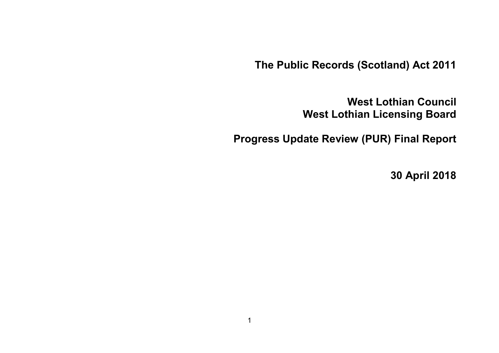**The Public Records (Scotland) Act 2011**

**West Lothian Council West Lothian Licensing Board**

**Progress Update Review (PUR) Final Report**

**30 April 2018**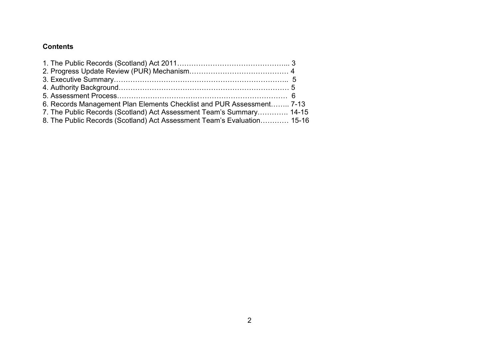### **Contents**

| 6. Records Management Plan Elements Checklist and PUR Assessment 7-13   |  |
|-------------------------------------------------------------------------|--|
| 7. The Public Records (Scotland) Act Assessment Team's Summary 14-15    |  |
| 8. The Public Records (Scotland) Act Assessment Team's Evaluation 15-16 |  |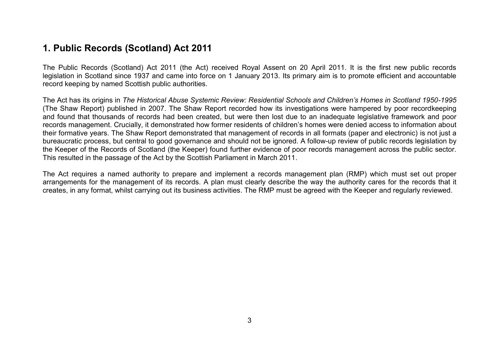## **1. Public Records (Scotland) Act 2011**

The Public Records (Scotland) Act 2011 (the Act) received Royal Assent on 20 April 2011. It is the first new public records legislation in Scotland since 1937 and came into force on 1 January 2013. Its primary aim is to promote efficient and accountable record keeping by named Scottish public authorities.

The Act has its origins in *The Historical Abuse Systemic Review: Residential Schools and Children's Homes in Scotland 1950-1995* (The Shaw Report) published in 2007. The Shaw Report recorded how its investigations were hampered by poor recordkeeping and found that thousands of records had been created, but were then lost due to an inadequate legislative framework and poor records management. Crucially, it demonstrated how former residents of children's homes were denied access to information about their formative years. The Shaw Report demonstrated that management of records in all formats (paper and electronic) is not just a bureaucratic process, but central to good governance and should not be ignored. A follow-up review of public records legislation by the Keeper of the Records of Scotland (the Keeper) found further evidence of poor records management across the public sector. This resulted in the passage of the Act by the Scottish Parliament in March 2011.

The Act requires a named authority to prepare and implement a records management plan (RMP) which must set out proper arrangements for the management of its records. A plan must clearly describe the way the authority cares for the records that it creates, in any format, whilst carrying out its business activities. The RMP must be agreed with the Keeper and regularly reviewed.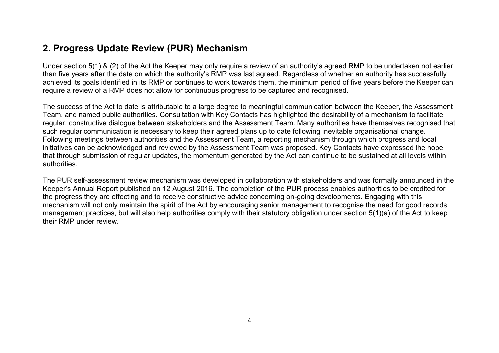## **2. Progress Update Review (PUR) Mechanism**

Under section 5(1) & (2) of the Act the Keeper may only require a review of an authority's agreed RMP to be undertaken not earlier than five years after the date on which the authority's RMP was last agreed. Regardless of whether an authority has successfully achieved its goals identified in its RMP or continues to work towards them, the minimum period of five years before the Keeper can require a review of a RMP does not allow for continuous progress to be captured and recognised.

The success of the Act to date is attributable to a large degree to meaningful communication between the Keeper, the Assessment Team, and named public authorities. Consultation with Key Contacts has highlighted the desirability of a mechanism to facilitate regular, constructive dialogue between stakeholders and the Assessment Team. Many authorities have themselves recognised that such regular communication is necessary to keep their agreed plans up to date following inevitable organisational change. Following meetings between authorities and the Assessment Team, a reporting mechanism through which progress and local initiatives can be acknowledged and reviewed by the Assessment Team was proposed. Key Contacts have expressed the hope that through submission of regular updates, the momentum generated by the Act can continue to be sustained at all levels within authorities.

The PUR self-assessment review mechanism was developed in collaboration with stakeholders and was formally announced in the Keeper's Annual Report published on 12 August 2016. The completion of the PUR process enables authorities to be credited for the progress they are effecting and to receive constructive advice concerning on-going developments. Engaging with this mechanism will not only maintain the spirit of the Act by encouraging senior management to recognise the need for good records management practices, but will also help authorities comply with their statutory obligation under section 5(1)(a) of the Act to keep their RMP under review.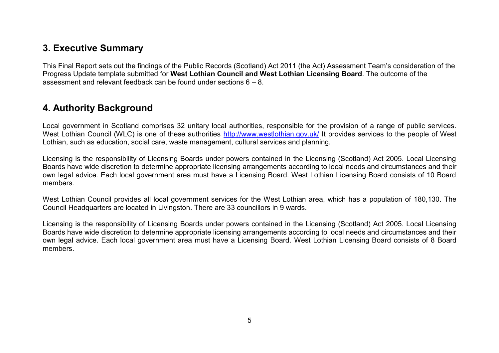## **3. Executive Summary**

This Final Report sets out the findings of the Public Records (Scotland) Act 2011 (the Act) Assessment Team's consideration of the Progress Update template submitted for **West Lothian Council and West Lothian Licensing Board**. The outcome of the assessment and relevant feedback can be found under sections  $6 - 8$ .

## **4. Authority Background**

Local government in Scotland comprises 32 unitary local authorities, responsible for the provision of a range of public services. West Lothian Council (WLC) is one of these authorities<http://www.westlothian.gov.uk/> It provides services to the people of West Lothian, such as education, social care, waste management, cultural services and planning.

Licensing is the responsibility of Licensing Boards under powers contained in the Licensing (Scotland) Act 2005. Local Licensing Boards have wide discretion to determine appropriate licensing arrangements according to local needs and circumstances and their own legal advice. Each local government area must have a Licensing Board. West Lothian Licensing Board consists of 10 Board members.

West Lothian Council provides all local government services for the West Lothian area, which has a population of 180,130. The Council Headquarters are located in Livingston. There are 33 councillors in 9 wards.

Licensing is the responsibility of Licensing Boards under powers contained in the Licensing (Scotland) Act 2005. Local Licensing Boards have wide discretion to determine appropriate licensing arrangements according to local needs and circumstances and their own legal advice. Each local government area must have a Licensing Board. West Lothian Licensing Board consists of 8 Board members.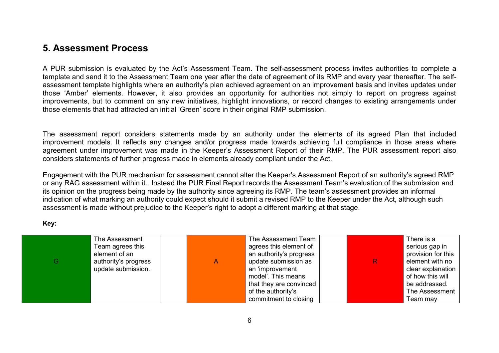## **5. Assessment Process**

A PUR submission is evaluated by the Act's Assessment Team. The self-assessment process invites authorities to complete a template and send it to the Assessment Team one year after the date of agreement of its RMP and every year thereafter. The selfassessment template highlights where an authority's plan achieved agreement on an improvement basis and invites updates under those 'Amber' elements. However, it also provides an opportunity for authorities not simply to report on progress against improvements, but to comment on any new initiatives, highlight innovations, or record changes to existing arrangements under those elements that had attracted an initial 'Green' score in their original RMP submission.

The assessment report considers statements made by an authority under the elements of its agreed Plan that included improvement models. It reflects any changes and/or progress made towards achieving full compliance in those areas where agreement under improvement was made in the Keeper's Assessment Report of their RMP. The PUR assessment report also considers statements of further progress made in elements already compliant under the Act.

Engagement with the PUR mechanism for assessment cannot alter the Keeper's Assessment Report of an authority's agreed RMP or any RAG assessment within it. Instead the PUR Final Report records the Assessment Team's evaluation of the submission and its opinion on the progress being made by the authority since agreeing its RMP. The team's assessment provides an informal indication of what marking an authority could expect should it submit a revised RMP to the Keeper under the Act, although such assessment is made without prejudice to the Keeper's right to adopt a different marking at that stage.

**Key:** 

| G. | The Assessment<br>Team agrees this<br>element of an<br>authority's progress<br>update submission. | Α | The Assessment Team<br>agrees this element of<br>an authority's progress<br>update submission as<br>an 'improvement<br>model'. This means<br>that they are convinced<br>of the authority's | $\mathsf{R}$ | There is a<br>serious gap in<br>provision for this<br>element with no<br>clear explanation<br>of how this will<br>be addressed.<br>The Assessment |
|----|---------------------------------------------------------------------------------------------------|---|--------------------------------------------------------------------------------------------------------------------------------------------------------------------------------------------|--------------|---------------------------------------------------------------------------------------------------------------------------------------------------|
|    |                                                                                                   |   |                                                                                                                                                                                            |              |                                                                                                                                                   |
|    |                                                                                                   |   | commitment to closing                                                                                                                                                                      |              | Team may                                                                                                                                          |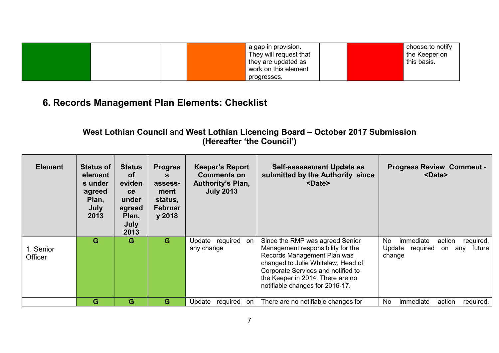|  | a gap in provision.<br>They will request that<br>they are updated as<br>work on this element | choose to notify<br>the Keeper on<br>this basis. |
|--|----------------------------------------------------------------------------------------------|--------------------------------------------------|
|  | progresses.                                                                                  |                                                  |

# **6. Records Management Plan Elements: Checklist**

## **West Lothian Council** and **West Lothian Licencing Board – October 2017 Submission (Hereafter 'the Council')**

| <b>Element</b>       | <b>Status of</b><br>element<br>s under<br>agreed<br>Plan,<br>July<br>2013 | <b>Status</b><br><b>of</b><br>eviden<br>ce<br>under<br>agreed<br>Plan,<br>July<br>2013 | <b>Progres</b><br>S<br>assess-<br>ment<br>status,<br><b>Februar</b><br>y 2018 | <b>Keeper's Report</b><br><b>Comments on</b><br><b>Authority's Plan,</b><br><b>July 2013</b> | Self-assessment Update as<br>submitted by the Authority since<br><date></date>                                                                                                                                                                         | <b>Progress Review Comment -</b><br><date></date>                                              |
|----------------------|---------------------------------------------------------------------------|----------------------------------------------------------------------------------------|-------------------------------------------------------------------------------|----------------------------------------------------------------------------------------------|--------------------------------------------------------------------------------------------------------------------------------------------------------------------------------------------------------------------------------------------------------|------------------------------------------------------------------------------------------------|
| 1. Senior<br>Officer | G                                                                         | G                                                                                      | G                                                                             | Update required<br>on<br>any change                                                          | Since the RMP was agreed Senior<br>Management responsibility for the<br>Records Management Plan was<br>changed to Julie Whitelaw, Head of<br>Corporate Services and notified to<br>the Keeper in 2014. There are no<br>notifiable changes for 2016-17. | immediate<br>action<br>required.<br>No.<br>Update<br>future<br>required<br>any<br>on<br>change |
|                      | G                                                                         | G                                                                                      | G                                                                             | Update<br>required<br>on                                                                     | There are no notifiable changes for                                                                                                                                                                                                                    | No.<br>immediate<br>action<br>required.                                                        |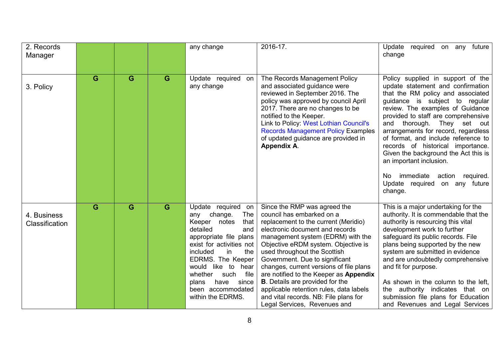| 2. Records<br>Manager         |   |   |   | any change                                                                                                                                                                                                                                                                                                                | 2016-17.                                                                                                                                                                                                                                                                                                                                                                                                                                                                                                                               | required<br>future<br>Update<br>on any<br>change                                                                                                                                                                                                                                                                                                                                                                                                                                                                                 |
|-------------------------------|---|---|---|---------------------------------------------------------------------------------------------------------------------------------------------------------------------------------------------------------------------------------------------------------------------------------------------------------------------------|----------------------------------------------------------------------------------------------------------------------------------------------------------------------------------------------------------------------------------------------------------------------------------------------------------------------------------------------------------------------------------------------------------------------------------------------------------------------------------------------------------------------------------------|----------------------------------------------------------------------------------------------------------------------------------------------------------------------------------------------------------------------------------------------------------------------------------------------------------------------------------------------------------------------------------------------------------------------------------------------------------------------------------------------------------------------------------|
| 3. Policy                     | G | G | G | Update required<br>on<br>any change                                                                                                                                                                                                                                                                                       | The Records Management Policy<br>and associated guidance were<br>reviewed in September 2016. The<br>policy was approved by council April<br>2017. There are no changes to be<br>notified to the Keeper.<br>Link to Policy: West Lothian Council's<br><b>Records Management Policy Examples</b><br>of updated guidance are provided in<br><b>Appendix A.</b>                                                                                                                                                                            | Policy supplied in support of the<br>update statement and confirmation<br>that the RM policy and associated<br>guidance is subject to regular<br>review. The examples of Guidance<br>provided to staff are comprehensive<br>and thorough. They set out<br>arrangements for record, regardless<br>of format, and include reference to<br>records of historical importance.<br>Given the background the Act this is<br>an important inclusion.<br>immediate<br>action required.<br>No.<br>Update required on any future<br>change. |
| 4. Business<br>Classification | G | G | G | Update required on<br>change.<br><b>The</b><br>any<br>Keeper notes<br>that<br>detailed<br>and<br>appropriate file plans<br>exist for activities not<br>included<br>the<br>in<br>EDRMS. The Keeper<br>would<br>like to hear<br>whether<br>such<br>file<br>since<br>have<br>plans<br>been accommodated<br>within the EDRMS. | Since the RMP was agreed the<br>council has embarked on a<br>replacement to the current (Meridio)<br>electronic document and records<br>management system (EDRM) with the<br>Objective eRDM system. Objective is<br>used throughout the Scottish<br>Government. Due to significant<br>changes, current versions of file plans<br>are notified to the Keeper as Appendix<br><b>B</b> . Details are provided for the<br>applicable retention rules, data labels<br>and vital records. NB: File plans for<br>Legal Services, Revenues and | This is a major undertaking for the<br>authority. It is commendable that the<br>authority is resourcing this vital<br>development work to further<br>safeguard its public records. File<br>plans being supported by the new<br>system are submitted in evidence<br>and are undoubtedly comprehensive<br>and fit for purpose.<br>As shown in the column to the left,<br>authority indicates that on<br>the<br>submission file plans for Education<br>and Revenues and Legal Services                                              |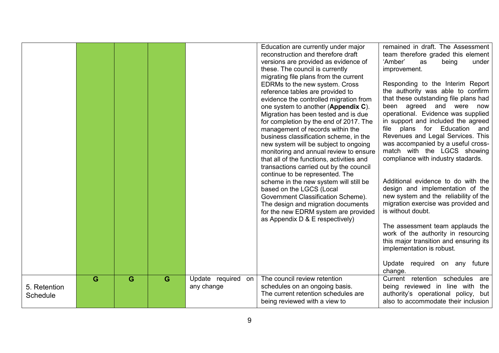|                          |   |   |   |                                     | Education are currently under major<br>reconstruction and therefore draft<br>versions are provided as evidence of<br>these. The council is currently<br>migrating file plans from the current<br>EDRMs to the new system. Cross<br>reference tables are provided to<br>evidence the controlled migration from<br>one system to another (Appendix C).<br>Migration has been tested and is due<br>for completion by the end of 2017. The<br>management of records within the<br>business classification scheme, in the<br>new system will be subject to ongoing<br>monitoring and annual review to ensure<br>that all of the functions, activities and<br>transactions carried out by the council<br>continue to be represented. The<br>scheme in the new system will still be<br>based on the LGCS (Local<br>Government Classification Scheme).<br>The design and migration documents<br>for the new EDRM system are provided<br>as Appendix D & E respectively) | remained in draft. The Assessment<br>team therefore graded this element<br>'Amber'<br>under<br>as<br>being<br>improvement.<br>Responding to the Interim Report<br>the authority was able to confirm<br>that these outstanding file plans had<br>been agreed and were now<br>operational. Evidence was supplied<br>in support and included the agreed<br>file plans for Education and<br>Revenues and Legal Services. This<br>was accompanied by a useful cross-<br>match with the LGCS showing<br>compliance with industry stadards.<br>Additional evidence to do with the<br>design and implementation of the<br>new system and the reliability of the<br>migration exercise was provided and<br>is without doubt.<br>The assessment team applauds the<br>work of the authority in resourcing<br>this major transition and ensuring its<br>implementation is robust.<br>Update required on any future<br>change. |
|--------------------------|---|---|---|-------------------------------------|-----------------------------------------------------------------------------------------------------------------------------------------------------------------------------------------------------------------------------------------------------------------------------------------------------------------------------------------------------------------------------------------------------------------------------------------------------------------------------------------------------------------------------------------------------------------------------------------------------------------------------------------------------------------------------------------------------------------------------------------------------------------------------------------------------------------------------------------------------------------------------------------------------------------------------------------------------------------|-------------------------------------------------------------------------------------------------------------------------------------------------------------------------------------------------------------------------------------------------------------------------------------------------------------------------------------------------------------------------------------------------------------------------------------------------------------------------------------------------------------------------------------------------------------------------------------------------------------------------------------------------------------------------------------------------------------------------------------------------------------------------------------------------------------------------------------------------------------------------------------------------------------------|
| 5. Retention<br>Schedule | G | G | G | Update required<br>on<br>any change | The council review retention<br>schedules on an ongoing basis.<br>The current retention schedules are<br>being reviewed with a view to                                                                                                                                                                                                                                                                                                                                                                                                                                                                                                                                                                                                                                                                                                                                                                                                                          | Current retention schedules<br>are<br>being reviewed in line with the<br>authority's operational policy, but<br>also to accommodate their inclusion                                                                                                                                                                                                                                                                                                                                                                                                                                                                                                                                                                                                                                                                                                                                                               |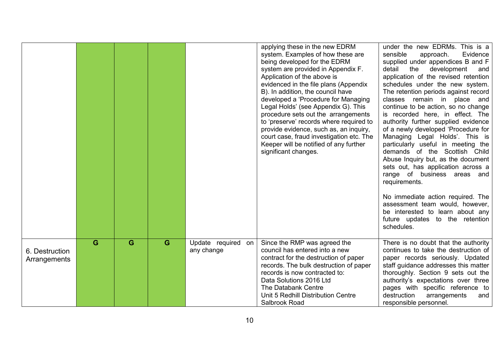|                                |   |   |   |                                     | applying these in the new EDRM<br>system. Examples of how these are<br>being developed for the EDRM<br>system are provided in Appendix F.<br>Application of the above is<br>evidenced in the file plans (Appendix<br>B). In addition, the council have<br>developed a 'Procedure for Managing<br>Legal Holds' (see Appendix G). This<br>procedure sets out the arrangements<br>to 'preserve' records where required to<br>provide evidence, such as, an inquiry,<br>court case, fraud investigation etc. The<br>Keeper will be notified of any further<br>significant changes. | under the new EDRMs. This is a<br>sensible<br>Evidence<br>approach.<br>supplied under appendices B and F<br>detail<br>the<br>development<br>and<br>application of the revised retention<br>schedules under the new system.<br>The retention periods against record<br>classes remain in place and<br>continue to be action, so no change<br>is recorded here, in effect. The<br>authority further supplied evidence<br>of a newly developed 'Procedure for<br>Managing Legal Holds'. This is<br>particularly useful in meeting the<br>demands of the Scottish Child<br>Abuse Inquiry but, as the document<br>sets out, has application across a<br>range of business areas and<br>requirements.<br>No immediate action required. The<br>assessment team would, however,<br>be interested to learn about any<br>future updates to the retention<br>schedules. |
|--------------------------------|---|---|---|-------------------------------------|--------------------------------------------------------------------------------------------------------------------------------------------------------------------------------------------------------------------------------------------------------------------------------------------------------------------------------------------------------------------------------------------------------------------------------------------------------------------------------------------------------------------------------------------------------------------------------|--------------------------------------------------------------------------------------------------------------------------------------------------------------------------------------------------------------------------------------------------------------------------------------------------------------------------------------------------------------------------------------------------------------------------------------------------------------------------------------------------------------------------------------------------------------------------------------------------------------------------------------------------------------------------------------------------------------------------------------------------------------------------------------------------------------------------------------------------------------|
| 6. Destruction<br>Arrangements | G | G | G | Update required<br>on<br>any change | Since the RMP was agreed the<br>council has entered into a new<br>contract for the destruction of paper<br>records. The bulk destruction of paper<br>records is now contracted to:<br>Data Solutions 2016 Ltd<br>The Databank Centre<br>Unit 5 Redhill Distribution Centre<br>Salbrook Road                                                                                                                                                                                                                                                                                    | There is no doubt that the authority<br>continues to take the destruction of<br>paper records seriously. Updated<br>staff guidance addresses this matter<br>thoroughly. Section 9 sets out the<br>authority's expectations over three<br>pages with specific reference to<br>destruction<br>arrangements<br>and<br>responsible personnel.                                                                                                                                                                                                                                                                                                                                                                                                                                                                                                                    |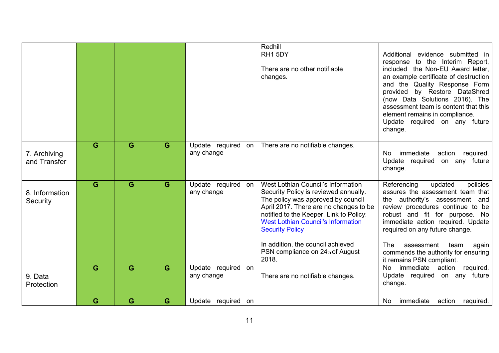|                              |   |   |   |                                     | Redhill<br>RH1 5DY<br>There are no other notifiable<br>changes.                                                                                                                                                                                                                                                                                                 | Additional<br>evidence submitted in<br>response to the Interim Report,<br>included the Non-EU Award letter,<br>an example certificate of destruction<br>and the Quality Response Form<br>by Restore DataShred<br>provided<br>(now Data Solutions 2016). The<br>assessment team is content that this<br>element remains in compliance.<br>Update required on any future<br>change. |
|------------------------------|---|---|---|-------------------------------------|-----------------------------------------------------------------------------------------------------------------------------------------------------------------------------------------------------------------------------------------------------------------------------------------------------------------------------------------------------------------|-----------------------------------------------------------------------------------------------------------------------------------------------------------------------------------------------------------------------------------------------------------------------------------------------------------------------------------------------------------------------------------|
| 7. Archiving<br>and Transfer | G | G | G | Update required<br>on<br>any change | There are no notifiable changes.                                                                                                                                                                                                                                                                                                                                | immediate<br>action required.<br>No.<br>Update required<br>on any future<br>change.                                                                                                                                                                                                                                                                                               |
| 8. Information<br>Security   | G | G | G | Update required<br>on<br>any change | West Lothian Council's Information<br>Security Policy is reviewed annually.<br>The policy was approved by council<br>April 2017. There are no changes to be<br>notified to the Keeper. Link to Policy:<br><b>West Lothian Council's Information</b><br><b>Security Policy</b><br>In addition, the council achieved<br>PSN compliance on 24th of August<br>2018. | Referencing<br>updated<br>policies<br>assures the assessment team that<br>the authority's assessment and<br>review procedures continue to be<br>robust and fit for purpose. No<br>immediate action required. Update<br>required on any future change.<br><b>The</b><br>assessment<br>team<br>again<br>commends the authority for ensuring<br>it remains PSN compliant.            |
| 9. Data<br>Protection        | G | G | G | Update required<br>on<br>any change | There are no notifiable changes.                                                                                                                                                                                                                                                                                                                                | action<br><b>No</b><br>immediate<br>required.<br>Update required<br>on any future<br>change.                                                                                                                                                                                                                                                                                      |
|                              | G | G | G | Update required on                  |                                                                                                                                                                                                                                                                                                                                                                 | immediate<br>No<br>action required.                                                                                                                                                                                                                                                                                                                                               |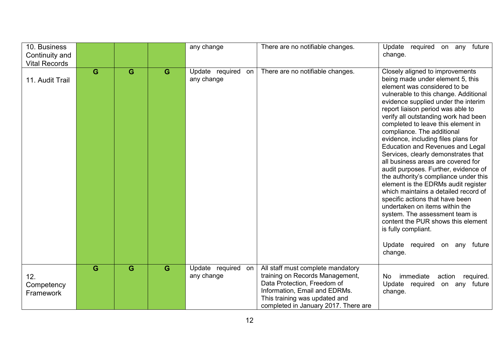| 10. Business<br>Continuity and<br><b>Vital Records</b> |   |   |   | any change                          | There are no notifiable changes.                                                                                                                                                                              | Update required on any future<br>change.                                                                                                                                                                                                                                                                                                                                                                                                                                                                                                                                                                                                                                                                                                                                                                                                                                     |
|--------------------------------------------------------|---|---|---|-------------------------------------|---------------------------------------------------------------------------------------------------------------------------------------------------------------------------------------------------------------|------------------------------------------------------------------------------------------------------------------------------------------------------------------------------------------------------------------------------------------------------------------------------------------------------------------------------------------------------------------------------------------------------------------------------------------------------------------------------------------------------------------------------------------------------------------------------------------------------------------------------------------------------------------------------------------------------------------------------------------------------------------------------------------------------------------------------------------------------------------------------|
| 11. Audit Trail                                        | G | G | G | Update required<br>on<br>any change | There are no notifiable changes.                                                                                                                                                                              | Closely aligned to improvements<br>being made under element 5, this<br>element was considered to be<br>vulnerable to this change. Additional<br>evidence supplied under the interim<br>report liaison period was able to<br>verify all outstanding work had been<br>completed to leave this element in<br>compliance. The additional<br>evidence, including files plans for<br>Education and Revenues and Legal<br>Services, clearly demonstrates that<br>all business areas are covered for<br>audit purposes. Further, evidence of<br>the authority's compliance under this<br>element is the EDRMs audit register<br>which maintains a detailed record of<br>specific actions that have been<br>undertaken on items within the<br>system. The assessment team is<br>content the PUR shows this element<br>is fully compliant.<br>Update required on any future<br>change. |
| 12.<br>Competency<br>Framework                         | G | G | G | Update required<br>on<br>any change | All staff must complete mandatory<br>training on Records Management,<br>Data Protection, Freedom of<br>Information, Email and EDRMs.<br>This training was updated and<br>completed in January 2017. There are | immediate<br>No<br>action required.<br>Update<br>required<br>on any future<br>change.                                                                                                                                                                                                                                                                                                                                                                                                                                                                                                                                                                                                                                                                                                                                                                                        |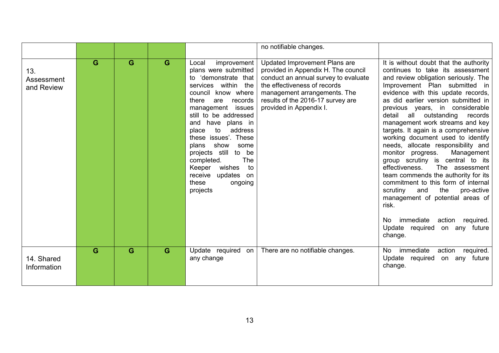|                                 |   |   |   |                                                                                                                                                                                                                                                                                                                                                                                                                                            | no notifiable changes.                                                                                                                                                                                                                       |                                                                                                                                                                                                                                                                                                                                                                                                                                                                                                                                                                                                                                                                                                                                                                                                                                        |
|---------------------------------|---|---|---|--------------------------------------------------------------------------------------------------------------------------------------------------------------------------------------------------------------------------------------------------------------------------------------------------------------------------------------------------------------------------------------------------------------------------------------------|----------------------------------------------------------------------------------------------------------------------------------------------------------------------------------------------------------------------------------------------|----------------------------------------------------------------------------------------------------------------------------------------------------------------------------------------------------------------------------------------------------------------------------------------------------------------------------------------------------------------------------------------------------------------------------------------------------------------------------------------------------------------------------------------------------------------------------------------------------------------------------------------------------------------------------------------------------------------------------------------------------------------------------------------------------------------------------------------|
| 13.<br>Assessment<br>and Review | G | G | G | improvement<br>Local<br>plans were submitted<br>to 'demonstrate that<br>services within the<br>council know where<br>records<br>there<br>are<br>management issues<br>still to be addressed<br>have plans in<br>and<br>to<br>address<br>place<br>these issues'. These<br>show<br>plans<br>some<br>projects still<br>to be<br><b>The</b><br>completed.<br>Keeper<br>wishes<br>to<br>receive<br>updates<br>on<br>these<br>ongoing<br>projects | Updated Improvement Plans are<br>provided in Appendix H. The council<br>conduct an annual survey to evaluate<br>the effectiveness of records<br>management arrangements. The<br>results of the 2016-17 survey are<br>provided in Appendix I. | It is without doubt that the authority<br>continues to take its assessment<br>and review obligation seriously. The<br>Improvement Plan submitted in<br>evidence with this update records,<br>as did earlier version submitted in<br>previous years, in considerable<br>outstanding<br>detail<br>records<br>all<br>management work streams and key<br>targets. It again is a comprehensive<br>working document used to identify<br>needs, allocate responsibility and<br>monitor progress.<br>Management<br>group scrutiny is central to its<br>effectiveness.<br>The assessment<br>team commends the authority for its<br>commitment to this form of internal<br>scrutiny<br>the<br>and<br>pro-active<br>management of potential areas of<br>risk.<br>immediate<br>action required.<br>No.<br>Update required on any future<br>change. |
| 14. Shared<br>Information       | G | G | G | Update required<br>on<br>any change                                                                                                                                                                                                                                                                                                                                                                                                        | There are no notifiable changes.                                                                                                                                                                                                             | immediate<br>action<br>No.<br>required.<br>Update required on any future<br>change.                                                                                                                                                                                                                                                                                                                                                                                                                                                                                                                                                                                                                                                                                                                                                    |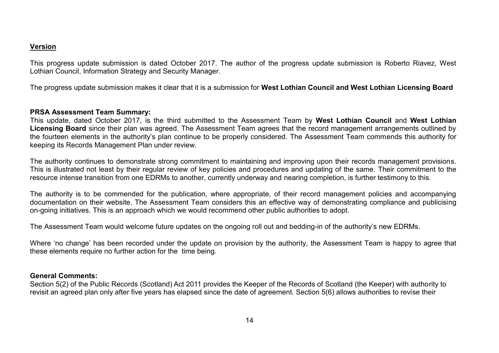### **Version**

This progress update submission is dated October 2017. The author of the progress update submission is Roberto Riavez, West Lothian Council, Information Strategy and Security Manager.

The progress update submission makes it clear that it is a submission for **West Lothian Council and West Lothian Licensing Board**

### **PRSA Assessment Team Summary:**

This update, dated October 2017, is the third submitted to the Assessment Team by **West Lothian Council** and **West Lothian Licensing Board** since their plan was agreed. The Assessment Team agrees that the record management arrangements outlined by the fourteen elements in the authority's plan continue to be properly considered. The Assessment Team commends this authority for keeping its Records Management Plan under review.

The authority continues to demonstrate strong commitment to maintaining and improving upon their records management provisions. This is illustrated not least by their regular review of key policies and procedures and updating of the same. Their commitment to the resource intense transition from one EDRMs to another, currently underway and nearing completion, is further testimony to this.

The authority is to be commended for the publication, where appropriate, of their record management policies and accompanying documentation on their website. The Assessment Team considers this an effective way of demonstrating compliance and publicising on-going initiatives. This is an approach which we would recommend other public authorities to adopt.

The Assessment Team would welcome future updates on the ongoing roll out and bedding-in of the authority's new EDRMs.

Where 'no change' has been recorded under the update on provision by the authority, the Assessment Team is happy to agree that these elements require no further action for the time being.

#### **General Comments:**

Section 5(2) of the Public Records (Scotland) Act 2011 provides the Keeper of the Records of Scotland (the Keeper) with authority to revisit an agreed plan only after five years has elapsed since the date of agreement. Section 5(6) allows authorities to revise their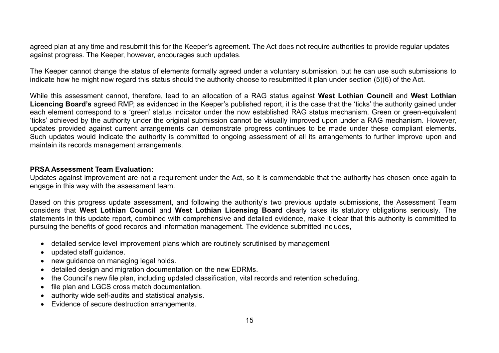agreed plan at any time and resubmit this for the Keeper's agreement. The Act does not require authorities to provide regular updates against progress. The Keeper, however, encourages such updates.

The Keeper cannot change the status of elements formally agreed under a voluntary submission, but he can use such submissions to indicate how he might now regard this status should the authority choose to resubmitted it plan under section (5)(6) of the Act.

While this assessment cannot, therefore, lead to an allocation of a RAG status against **West Lothian Council** and **West Lothian**  Licencing Board's agreed RMP, as evidenced in the Keeper's published report, it is the case that the 'ticks' the authority gained under each element correspond to a 'green' status indicator under the now established RAG status mechanism. Green or green-equivalent 'ticks' achieved by the authority under the original submission cannot be visually improved upon under a RAG mechanism. However, updates provided against current arrangements can demonstrate progress continues to be made under these compliant elements. Such updates would indicate the authority is committed to ongoing assessment of all its arrangements to further improve upon and maintain its records management arrangements.

### **PRSA Assessment Team Evaluation:**

Updates against improvement are not a requirement under the Act, so it is commendable that the authority has chosen once again to engage in this way with the assessment team.

Based on this progress update assessment, and following the authority's two previous update submissions, the Assessment Team considers that **West Lothian Council** and **West Lothian Licensing Board** clearly takes its statutory obligations seriously. The statements in this update report, combined with comprehensive and detailed evidence, make it clear that this authority is committed to pursuing the benefits of good records and information management. The evidence submitted includes,

- detailed service level improvement plans which are routinely scrutinised by management
- updated staff guidance.
- new guidance on managing legal holds.
- detailed design and migration documentation on the new EDRMs.
- the Council's new file plan, including updated classification, vital records and retention scheduling.
- file plan and LGCS cross match documentation.
- authority wide self-audits and statistical analysis.
- Evidence of secure destruction arrangements.